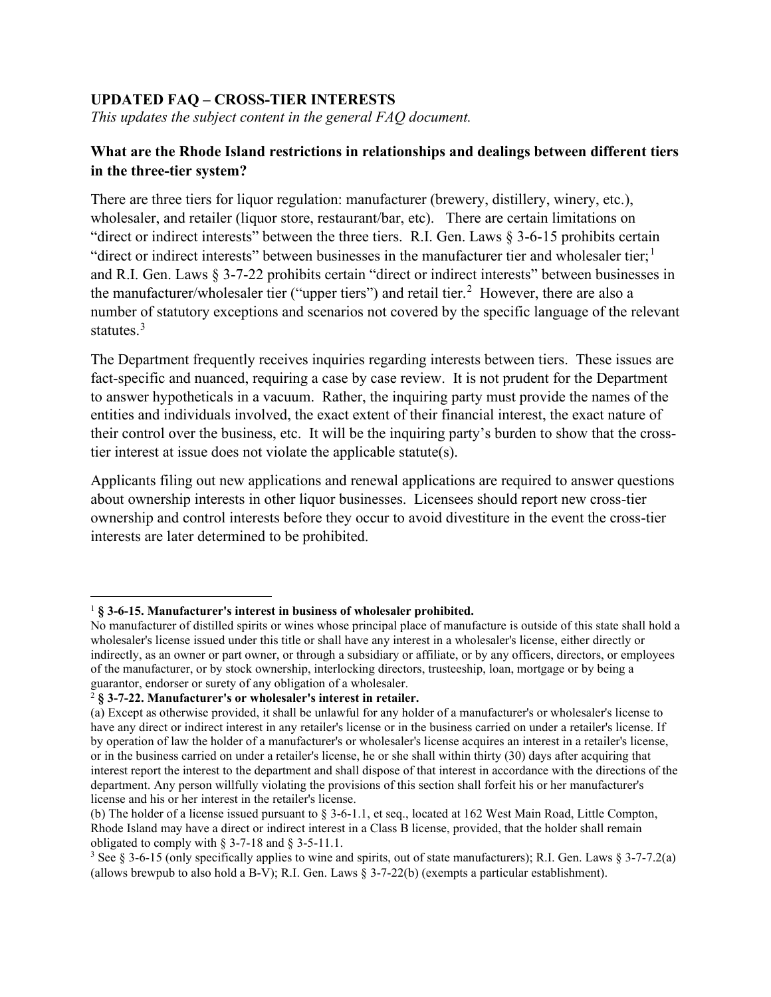## **UPDATED FAQ – CROSS-TIER INTERESTS**

*This updates the subject content in the general FAQ document.*

## **What are the Rhode Island restrictions in relationships and dealings between different tiers in the three-tier system?**

There are three tiers for liquor regulation: manufacturer (brewery, distillery, winery, etc.), wholesaler, and retailer (liquor store, restaurant/bar, etc). There are certain limitations on "direct or indirect interests" between the three tiers. R.I. Gen. Laws § 3-6-15 prohibits certain "direct or indirect interests" between businesses in the manufacturer tier and wholesaler tier;<sup>[1](#page-0-0)</sup> and R.I. Gen. Laws § 3-7-22 prohibits certain "direct or indirect interests" between businesses in the manufacturer/wholesaler tier ("upper tiers") and retail tier.<sup>[2](#page-0-1)</sup> However, there are also a number of statutory exceptions and scenarios not covered by the specific language of the relevant statutes.<sup>[3](#page-0-2)</sup>

The Department frequently receives inquiries regarding interests between tiers. These issues are fact-specific and nuanced, requiring a case by case review. It is not prudent for the Department to answer hypotheticals in a vacuum. Rather, the inquiring party must provide the names of the entities and individuals involved, the exact extent of their financial interest, the exact nature of their control over the business, etc. It will be the inquiring party's burden to show that the crosstier interest at issue does not violate the applicable statute(s).

Applicants filing out new applications and renewal applications are required to answer questions about ownership interests in other liquor businesses. Licensees should report new cross-tier ownership and control interests before they occur to avoid divestiture in the event the cross-tier interests are later determined to be prohibited.

<span id="page-0-0"></span><sup>1</sup> **§ 3-6-15. Manufacturer's interest in business of wholesaler prohibited.**

No manufacturer of distilled spirits or wines whose principal place of manufacture is outside of this state shall hold a wholesaler's license issued under this title or shall have any interest in a wholesaler's license, either directly or indirectly, as an owner or part owner, or through a subsidiary or affiliate, or by any officers, directors, or employees of the manufacturer, or by stock ownership, interlocking directors, trusteeship, loan, mortgage or by being a guarantor, endorser or surety of any obligation of a wholesaler.

<span id="page-0-1"></span><sup>2</sup> **§ 3-7-22. Manufacturer's or wholesaler's interest in retailer.**

<sup>(</sup>a) Except as otherwise provided, it shall be unlawful for any holder of a manufacturer's or wholesaler's license to have any direct or indirect interest in any retailer's license or in the business carried on under a retailer's license. If by operation of law the holder of a manufacturer's or wholesaler's license acquires an interest in a retailer's license, or in the business carried on under a retailer's license, he or she shall within thirty (30) days after acquiring that interest report the interest to the department and shall dispose of that interest in accordance with the directions of the department. Any person willfully violating the provisions of this section shall forfeit his or her manufacturer's license and his or her interest in the retailer's license.

<sup>(</sup>b) The holder of a license issued pursuant to § 3-6-1.1, et seq., located at 162 West Main Road, Little Compton, Rhode Island may have a direct or indirect interest in a Class B license, provided, that the holder shall remain obligated to comply with  $\S$  3-7-18 and  $\S$  3-5-11.1.

<span id="page-0-2"></span><sup>3</sup> See § 3-6-15 (only specifically applies to wine and spirits, out of state manufacturers); R.I. Gen. Laws § 3-7-7.2(a) (allows brewpub to also hold a B-V); R.I. Gen. Laws § 3-7-22(b) (exempts a particular establishment).